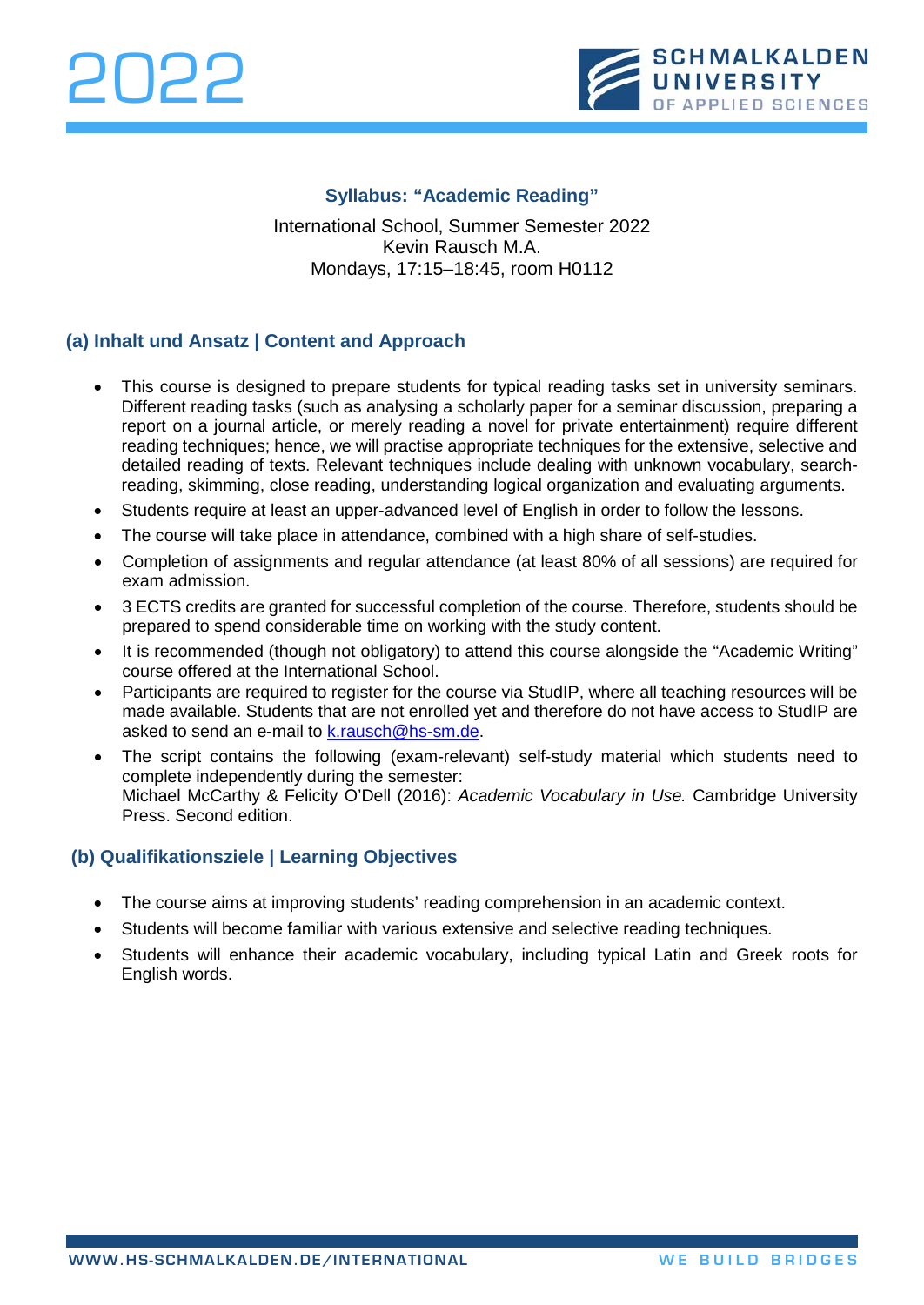



## **Syllabus: "Academic Reading"**

International School, Summer Semester 2022 Kevin Rausch M.A. Mondays, 17:15–18:45, room H0112

# **(a) Inhalt und Ansatz | Content and Approach**

- This course is designed to prepare students for typical reading tasks set in university seminars. Different reading tasks (such as analysing a scholarly paper for a seminar discussion, preparing a report on a journal article, or merely reading a novel for private entertainment) require different reading techniques; hence, we will practise appropriate techniques for the extensive, selective and detailed reading of texts. Relevant techniques include dealing with unknown vocabulary, searchreading, skimming, close reading, understanding logical organization and evaluating arguments.
- Students require at least an upper-advanced level of English in order to follow the lessons.
- The course will take place in attendance, combined with a high share of self-studies.
- Completion of assignments and regular attendance (at least 80% of all sessions) are required for exam admission.
- 3 ECTS credits are granted for successful completion of the course. Therefore, students should be prepared to spend considerable time on working with the study content.
- It is recommended (though not obligatory) to attend this course alongside the "Academic Writing" course offered at the International School.
- Participants are required to register for the course via StudIP, where all teaching resources will be made available. Students that are not enrolled yet and therefore do not have access to StudIP are asked to send an e-mail to [k.rausch@hs-sm.de.](mailto:k.rausch@hs-sm.de)
- The script contains the following (exam-relevant) self-study material which students need to complete independently during the semester: Michael McCarthy & Felicity O'Dell (2016): *Academic Vocabulary in Use.* Cambridge University Press. Second edition.

### **(b) Qualifikationsziele | Learning Objectives**

- The course aims at improving students' reading comprehension in an academic context.
- Students will become familiar with various extensive and selective reading techniques.
- Students will enhance their academic vocabulary, including typical Latin and Greek roots for English words.